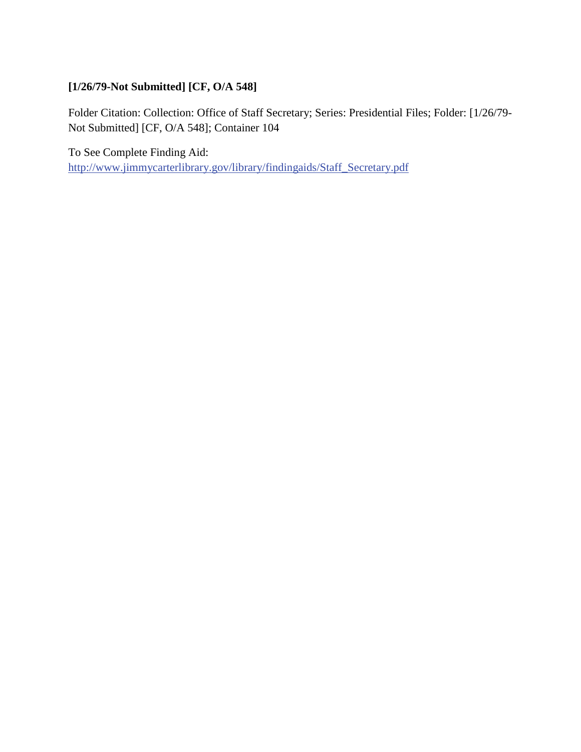## **[1/26/79-Not Submitted] [CF, O/A 548]**

Folder Citation: Collection: Office of Staff Secretary; Series: Presidential Files; Folder: [1/26/79- Not Submitted] [CF, O/A 548]; Container 104

To See Complete Finding Aid: [http://www.jimmycarterlibrary.gov/library/findingaids/Staff\\_Secretary.pdf](http://www.jimmycarterlibrary.gov/library/findingaids/Staff_Secretary.pdf)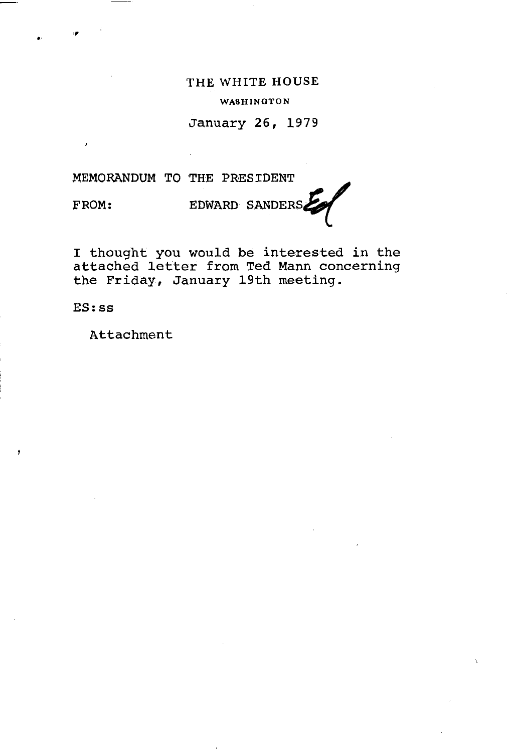THE WHITE HOUSE WASHINGTON

January 26, 1979

## MEMORANDUM TO THE PRESIDENT

FROM:

.. ,,

EDWARD SANDERS~

I thought you would be interested in the attached letter from Ted Mann concerning the Friday, January 19th meeting.

ES:ss

Attachment